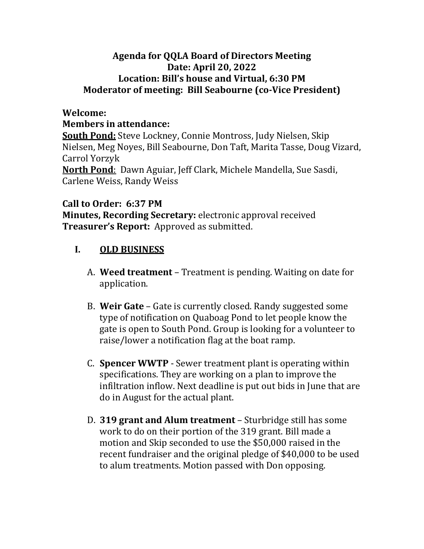## **Agenda for QQLA Board of Directors Meeting Date: April 20, 2022 Location: Bill's house and Virtual, 6:30 PM Moderator of meeting: Bill Seabourne (co-Vice President)**

#### **Welcome:**

#### **Members in attendance:**

**South Pond:** Steve Lockney, Connie Montross, Judy Nielsen, Skip Nielsen, Meg Noyes, Bill Seabourne, Don Taft, Marita Tasse, Doug Vizard, Carrol Yorzyk

**North Pond**: Dawn Aguiar, Jeff Clark, Michele Mandella, Sue Sasdi, Carlene Weiss, Randy Weiss

### **Call to Order: 6:37 PM**

**Minutes, Recording Secretary:** electronic approval received **Treasurer's Report:** Approved as submitted.

# **I. OLD BUSINESS**

- A. **Weed treatment** Treatment is pending. Waiting on date for application.
- B. **Weir Gate** Gate is currently closed. Randy suggested some type of notification on Quaboag Pond to let people know the gate is open to South Pond. Group is looking for a volunteer to raise/lower a notification flag at the boat ramp.
- C. **Spencer WWTP** Sewer treatment plant is operating within specifications. They are working on a plan to improve the infiltration inflow. Next deadline is put out bids in June that are do in August for the actual plant.
- D. **319 grant and Alum treatment** Sturbridge still has some work to do on their portion of the 319 grant. Bill made a motion and Skip seconded to use the \$50,000 raised in the recent fundraiser and the original pledge of \$40,000 to be used to alum treatments. Motion passed with Don opposing.